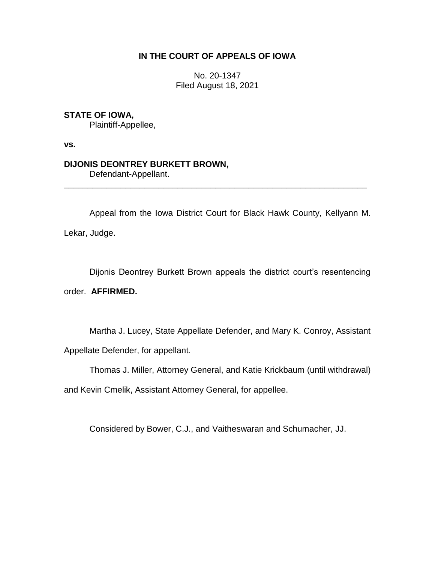# **IN THE COURT OF APPEALS OF IOWA**

No. 20-1347 Filed August 18, 2021

# **STATE OF IOWA,**

Plaintiff-Appellee,

**vs.**

## **DIJONIS DEONTREY BURKETT BROWN,**

Defendant-Appellant.

Appeal from the Iowa District Court for Black Hawk County, Kellyann M. Lekar, Judge.

\_\_\_\_\_\_\_\_\_\_\_\_\_\_\_\_\_\_\_\_\_\_\_\_\_\_\_\_\_\_\_\_\_\_\_\_\_\_\_\_\_\_\_\_\_\_\_\_\_\_\_\_\_\_\_\_\_\_\_\_\_\_\_\_

Dijonis Deontrey Burkett Brown appeals the district court's resentencing order. **AFFIRMED.**

Martha J. Lucey, State Appellate Defender, and Mary K. Conroy, Assistant Appellate Defender, for appellant.

Thomas J. Miller, Attorney General, and Katie Krickbaum (until withdrawal)

and Kevin Cmelik, Assistant Attorney General, for appellee.

Considered by Bower, C.J., and Vaitheswaran and Schumacher, JJ.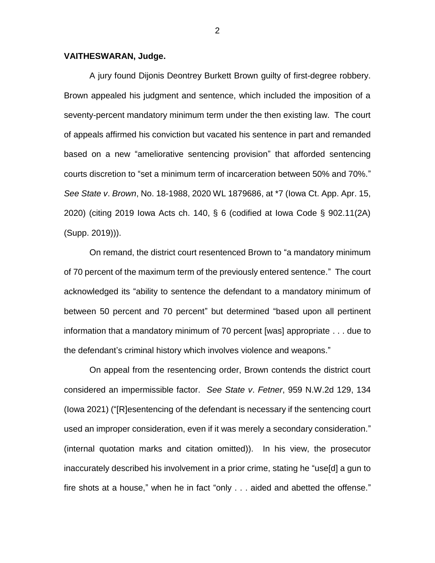### **VAITHESWARAN, Judge.**

A jury found Dijonis Deontrey Burkett Brown guilty of first-degree robbery. Brown appealed his judgment and sentence, which included the imposition of a seventy-percent mandatory minimum term under the then existing law. The court of appeals affirmed his conviction but vacated his sentence in part and remanded based on a new "ameliorative sentencing provision" that afforded sentencing courts discretion to "set a minimum term of incarceration between 50% and 70%." *See State v*. *Brown*, No. 18-1988, 2020 WL 1879686, at \*7 (Iowa Ct. App. Apr. 15, 2020) (citing 2019 Iowa Acts ch. 140, § 6 (codified at Iowa Code § 902.11(2A) (Supp. 2019))).

On remand, the district court resentenced Brown to "a mandatory minimum of 70 percent of the maximum term of the previously entered sentence." The court acknowledged its "ability to sentence the defendant to a mandatory minimum of between 50 percent and 70 percent" but determined "based upon all pertinent information that a mandatory minimum of 70 percent [was] appropriate . . . due to the defendant's criminal history which involves violence and weapons."

On appeal from the resentencing order, Brown contends the district court considered an impermissible factor. *See State v*. *Fetner*, 959 N.W.2d 129, 134 (Iowa 2021) ("[R]esentencing of the defendant is necessary if the sentencing court used an improper consideration, even if it was merely a secondary consideration." (internal quotation marks and citation omitted)). In his view, the prosecutor inaccurately described his involvement in a prior crime, stating he "use[d] a gun to fire shots at a house," when he in fact "only . . . aided and abetted the offense."